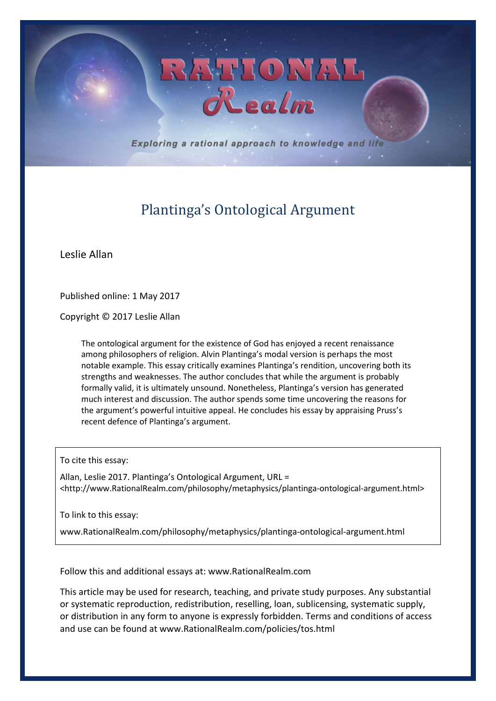Exploring a rational approach to knowledge and life

RATIONAL

# Plantinga's Ontological Argument

Leslie Allan

Published online: 1 May 2017

Copyright © 2017 Leslie Allan

The ontological argument for the existence of God has enjoyed a recent renaissance among philosophers of religion. Alvin Plantinga's modal version is perhaps the most notable example. This essay critically examines Plantinga's rendition, uncovering both its strengths and weaknesses. The author concludes that while the argument is probably formally valid, it is ultimately unsound. Nonetheless, Plantinga's version has generated much interest and discussion. The author spends some time uncovering the reasons for the argument's powerful intuitive appeal. He concludes his essay by appraising Pruss's recent defence of Plantinga's argument.

To cite this essay:

Allan, Leslie 2017. Plantinga's Ontological Argument, URL = <http://www.RationalRealm.com/philosophy/metaphysics/plantinga-ontological-argument.html>

To link to this essay:

www.RationalRealm.com/philosophy/metaphysics/plantinga-ontological-argument.html

Follow this and additional essays at: www.RationalRealm.com

This article may be used for research, teaching, and private study purposes. Any substantial or systematic reproduction, redistribution, reselling, loan, sublicensing, systematic supply, or distribution in any form to anyone is expressly forbidden. Terms and conditions of access and use can be found at www.RationalRealm.com/policies/tos.html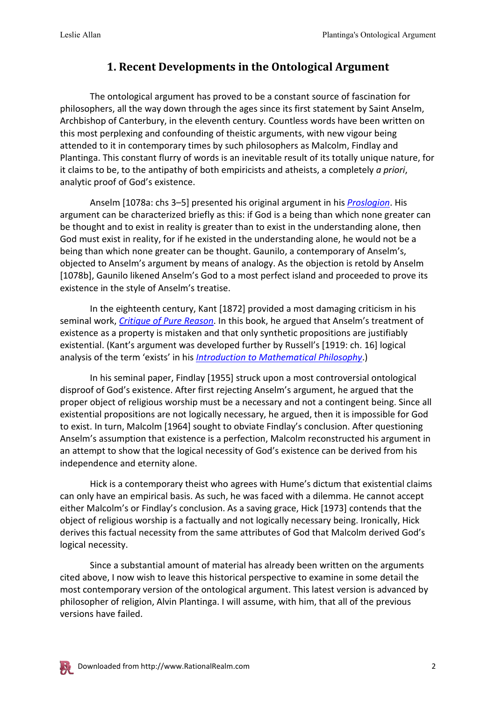#### **1. Recent Developments in the Ontological Argument**

The ontological argument has proved to be a constant source of fascination for philosophers, all the way down through the ages since its first statement by Saint Anselm, Archbishop of Canterbury, in the eleventh century. Countless words have been written on this most perplexing and confounding of theistic arguments, with new vigour being attended to it in contemporary times by such philosophers as Malcolm, Findlay and Plantinga. This constant flurry of words is an inevitable result of its totally unique nature, for it claims to be, to the antipathy of both empiricists and atheists, a completely *a priori*, analytic proof of God's existence.

Anselm [1078a: chs 3–5] presented his original argument in his *[Proslogion](https://www.amazon.com/gp/product/0875481094/ref=as_li_tl?ie=UTF8&camp=1789&creative=9325&creativeASIN=0875481094&linkCode=as2&tag=pdf1-ess-20&linkId=5eaf11ca8e853bce6697b20c3e72335d)*. His argument can be characterized briefly as this: if God is a being than which none greater can be thought and to exist in reality is greater than to exist in the understanding alone, then God must exist in reality, for if he existed in the understanding alone, he would not be a being than which none greater can be thought. Gaunilo, a contemporary of Anselm's, objected to Anselm's argument by means of analogy. As the objection is retold by Anselm [1078b], Gaunilo likened Anselm's God to a most perfect island and proceeded to prove its existence in the style of Anselm's treatise.

In the eighteenth century, Kant [1872] provided a most damaging criticism in his seminal work, *[Critique of Pure Reason](http://www.amazon.com/gp/product/0230013384/ref=as_li_tl?ie=UTF8&camp=1789&creative=390957&creativeASIN=0230013384&linkCode=as2&tag=pdf1-ess-20&linkId=EN64WCWCAHVTZ7OB)*. In this book, he argued that Anselm's treatment of existence as a property is mistaken and that only synthetic propositions are justifiably existential. (Kant's argument was developed further by Russell's [1919: ch. 16] logical analysis of the term 'exists' in his *[Introduction to Mathematical Philosophy](https://www.amazon.com/gp/product/111223067X/ref=as_li_tl?ie=UTF8&camp=1789&creative=9325&creativeASIN=111223067X&linkCode=as2&tag=pdf1-ess-20&linkId=222d2c7d7636711d740d7049b10e9ebe)*.)

In his seminal paper, Findlay [1955] struck upon a most controversial ontological disproof of God's existence. After first rejecting Anselm's argument, he argued that the proper object of religious worship must be a necessary and not a contingent being. Since all existential propositions are not logically necessary, he argued, then it is impossible for God to exist. In turn, Malcolm [1964] sought to obviate Findlay's conclusion. After questioning Anselm's assumption that existence is a perfection, Malcolm reconstructed his argument in an attempt to show that the logical necessity of God's existence can be derived from his independence and eternity alone.

Hick is a contemporary theist who agrees with Hume's dictum that existential claims can only have an empirical basis. As such, he was faced with a dilemma. He cannot accept either Malcolm's or Findlay's conclusion. As a saving grace, Hick [1973] contends that the object of religious worship is a factually and not logically necessary being. Ironically, Hick derives this factual necessity from the same attributes of God that Malcolm derived God's logical necessity.

Since a substantial amount of material has already been written on the arguments cited above, I now wish to leave this historical perspective to examine in some detail the most contemporary version of the ontological argument. This latest version is advanced by philosopher of religion, Alvin Plantinga. I will assume, with him, that all of the previous versions have failed.

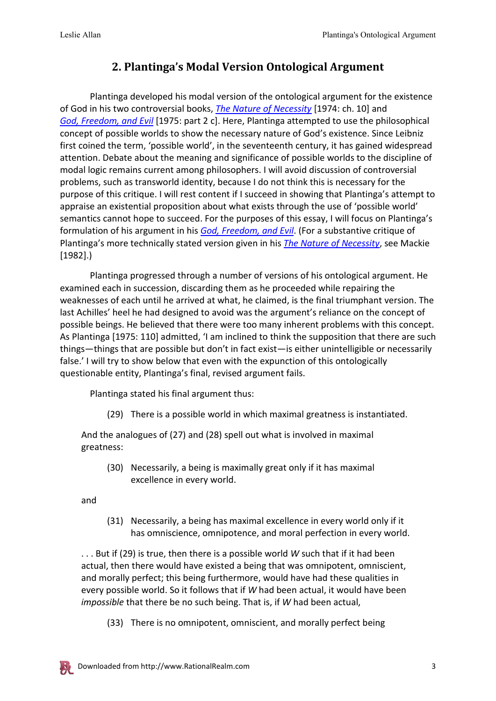## **2. Plantinga's Modal Version Ontological Argument**

Plantinga developed his modal version of the ontological argument for the existence of God in his two controversial books, *[The Nature of Necessity](https://www.amazon.com/gp/product/0198244142/ref=as_li_tl?ie=UTF8&camp=1789&creative=9325&creativeASIN=0198244142&linkCode=as2&tag=pdf1-ess-20&linkId=1270065f43efc980b915fdc12b3408af)* [1974: ch. 10] and *[God, Freedom, and Evil](http://www.amazon.com/gp/product/0802817319/ref=as_li_tl?ie=UTF8&camp=1789&creative=390957&creativeASIN=0802817319&linkCode=as2&tag=pdf1-ess-20&linkId=FD5ROA5RXXTWDJM5)* [1975: part 2 c]. Here, Plantinga attempted to use the philosophical concept of possible worlds to show the necessary nature of God's existence. Since Leibniz first coined the term, 'possible world', in the seventeenth century, it has gained widespread attention. Debate about the meaning and significance of possible worlds to the discipline of modal logic remains current among philosophers. I will avoid discussion of controversial problems, such as transworld identity, because I do not think this is necessary for the purpose of this critique. I will rest content if I succeed in showing that Plantinga's attempt to appraise an existential proposition about what exists through the use of 'possible world' semantics cannot hope to succeed. For the purposes of this essay, I will focus on Plantinga's formulation of his argument in his *[God, Freedom, and Evil](http://www.amazon.com/gp/product/0802817319/ref=as_li_tl?ie=UTF8&camp=1789&creative=390957&creativeASIN=0802817319&linkCode=as2&tag=pdf1-ess-20&linkId=FD5ROA5RXXTWDJM5)*. (For a substantive critique of Plantinga's more technically stated version given in his *[The Nature of Necessity](https://www.amazon.com/gp/product/0198244142/ref=as_li_tl?ie=UTF8&camp=1789&creative=9325&creativeASIN=0198244142&linkCode=as2&tag=pdf1-ess-20&linkId=1270065f43efc980b915fdc12b3408af)*, see Mackie [1982].)

Plantinga progressed through a number of versions of his ontological argument. He examined each in succession, discarding them as he proceeded while repairing the weaknesses of each until he arrived at what, he claimed, is the final triumphant version. The last Achilles' heel he had designed to avoid was the argument's reliance on the concept of possible beings. He believed that there were too many inherent problems with this concept. As Plantinga [1975: 110] admitted, 'I am inclined to think the supposition that there are such things—things that are possible but don't in fact exist—is either unintelligible or necessarily false.' I will try to show below that even with the expunction of this ontologically questionable entity, Plantinga's final, revised argument fails.

Plantinga stated his final argument thus:

(29) There is a possible world in which maximal greatness is instantiated.

And the analogues of (27) and (28) spell out what is involved in maximal greatness:

(30) Necessarily, a being is maximally great only if it has maximal excellence in every world.

and

(31) Necessarily, a being has maximal excellence in every world only if it has omniscience, omnipotence, and moral perfection in every world.

. . . But if (29) is true, then there is a possible world *W* such that if it had been actual, then there would have existed a being that was omnipotent, omniscient, and morally perfect; this being furthermore, would have had these qualities in every possible world. So it follows that if *W* had been actual, it would have been *impossible* that there be no such being. That is, if *W* had been actual,

(33) There is no omnipotent, omniscient, and morally perfect being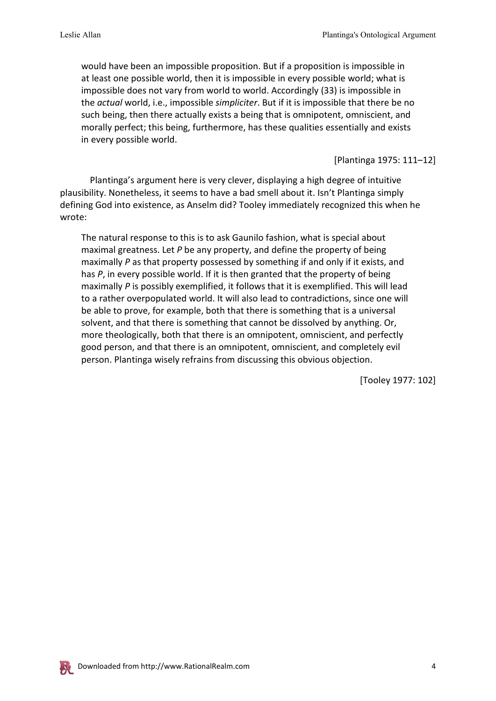would have been an impossible proposition. But if a proposition is impossible in at least one possible world, then it is impossible in every possible world; what is impossible does not vary from world to world. Accordingly (33) is impossible in the *actual* world, i.e., impossible *simpliciter*. But if it is impossible that there be no such being, then there actually exists a being that is omnipotent, omniscient, and morally perfect; this being, furthermore, has these qualities essentially and exists in every possible world.

[Plantinga 1975: 111–12]

Plantinga's argument here is very clever, displaying a high degree of intuitive plausibility. Nonetheless, it seems to have a bad smell about it. Isn't Plantinga simply defining God into existence, as Anselm did? Tooley immediately recognized this when he wrote:

The natural response to this is to ask Gaunilo fashion, what is special about maximal greatness. Let *P* be any property, and define the property of being maximally *P* as that property possessed by something if and only if it exists, and has *P*, in every possible world. If it is then granted that the property of being maximally *P* is possibly exemplified, it follows that it is exemplified. This will lead to a rather overpopulated world. It will also lead to contradictions, since one will be able to prove, for example, both that there is something that is a universal solvent, and that there is something that cannot be dissolved by anything. Or, more theologically, both that there is an omnipotent, omniscient, and perfectly good person, and that there is an omnipotent, omniscient, and completely evil person. Plantinga wisely refrains from discussing this obvious objection.

[Tooley 1977: 102]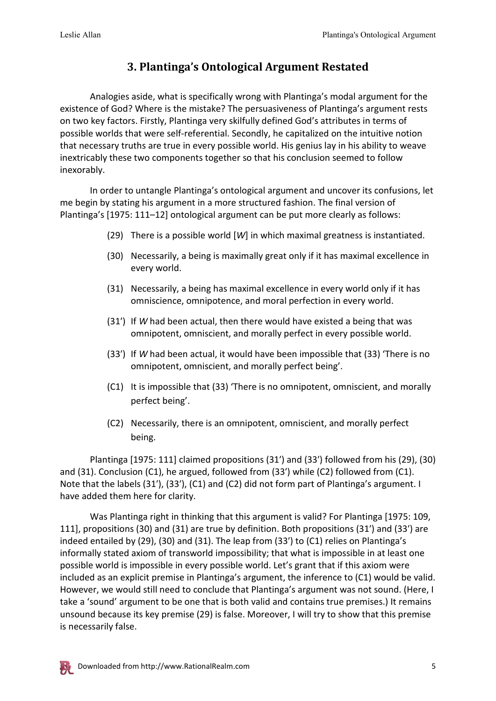## **3. Plantinga's Ontological Argument Restated**

Analogies aside, what is specifically wrong with Plantinga's modal argument for the existence of God? Where is the mistake? The persuasiveness of Plantinga's argument rests on two key factors. Firstly, Plantinga very skilfully defined God's attributes in terms of possible worlds that were self-referential. Secondly, he capitalized on the intuitive notion that necessary truths are true in every possible world. His genius lay in his ability to weave inextricably these two components together so that his conclusion seemed to follow inexorably.

In order to untangle Plantinga's ontological argument and uncover its confusions, let me begin by stating his argument in a more structured fashion. The final version of Plantinga's [1975: 111–12] ontological argument can be put more clearly as follows:

- (29) There is a possible world [*W*] in which maximal greatness is instantiated.
- (30) Necessarily, a being is maximally great only if it has maximal excellence in every world.
- (31) Necessarily, a being has maximal excellence in every world only if it has omniscience, omnipotence, and moral perfection in every world.
- (31′) If *W* had been actual, then there would have existed a being that was omnipotent, omniscient, and morally perfect in every possible world.
- (33′) If *W* had been actual, it would have been impossible that (33) 'There is no omnipotent, omniscient, and morally perfect being'.
- (C1) It is impossible that (33) 'There is no omnipotent, omniscient, and morally perfect being'.
- (C2) Necessarily, there is an omnipotent, omniscient, and morally perfect being.

Plantinga [1975: 111] claimed propositions (31′) and (33′) followed from his (29), (30) and (31). Conclusion (C1), he argued, followed from (33′) while (C2) followed from (C1). Note that the labels (31'), (33'), (C1) and (C2) did not form part of Plantinga's argument. I have added them here for clarity.

Was Plantinga right in thinking that this argument is valid? For Plantinga [1975: 109, 111], propositions (30) and (31) are true by definition. Both propositions (31′) and (33′) are indeed entailed by (29), (30) and (31). The leap from (33′) to (C1) relies on Plantinga's informally stated axiom of transworld impossibility; that what is impossible in at least one possible world is impossible in every possible world. Let's grant that if this axiom were included as an explicit premise in Plantinga's argument, the inference to (C1) would be valid. However, we would still need to conclude that Plantinga's argument was not sound. (Here, I take a 'sound' argument to be one that is both valid and contains true premises.) It remains unsound because its key premise (29) is false. Moreover, I will try to show that this premise is necessarily false.

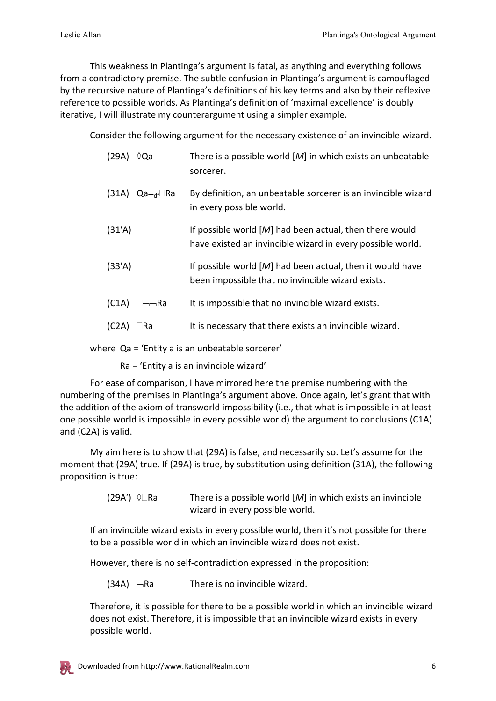This weakness in Plantinga's argument is fatal, as anything and everything follows from a contradictory premise. The subtle confusion in Plantinga's argument is camouflaged by the recursive nature of Plantinga's definitions of his key terms and also by their reflexive reference to possible worlds. As Plantinga's definition of 'maximal excellence' is doubly iterative, I will illustrate my counterargument using a simpler example.

Consider the following argument for the necessary existence of an invincible wizard.

| (29A)<br>∨Qa                | There is a possible world $[M]$ in which exists an unbeatable<br>sorcerer.                                              |
|-----------------------------|-------------------------------------------------------------------------------------------------------------------------|
| (31A) Qa= <sub>df</sub> □Ra | By definition, an unbeatable sorcerer is an invincible wizard<br>in every possible world.                               |
| (31'A)                      | If possible world $[M]$ had been actual, then there would<br>have existed an invincible wizard in every possible world. |
| (33'A)                      | If possible world $[M]$ had been actual, then it would have<br>been impossible that no invincible wizard exists.        |
| (C1A)<br>⊟——Ra              | It is impossible that no invincible wizard exists.                                                                      |
| (C2A)<br>Ra                 | It is necessary that there exists an invincible wizard.                                                                 |

where Qa = 'Entity a is an unbeatable sorcerer'

Ra = 'Entity a is an invincible wizard'

For ease of comparison, I have mirrored here the premise numbering with the numbering of the premises in Plantinga's argument above. Once again, let's grant that with the addition of the axiom of transworld impossibility (i.e., that what is impossible in at least one possible world is impossible in every possible world) the argument to conclusions (C1A) and (C2A) is valid.

My aim here is to show that (29A) is false, and necessarily so. Let's assume for the moment that (29A) true. If (29A) is true, by substitution using definition (31A), the following proposition is true:

> (29A′)  $\Diamond$  Ra There is a possible world [*M*] in which exists an invincible wizard in every possible world.

If an invincible wizard exists in every possible world, then it's not possible for there to be a possible world in which an invincible wizard does not exist.

However, there is no self-contradiction expressed in the proposition:

 $(34A)$   $\neg$ Ra There is no invincible wizard.

Therefore, it is possible for there to be a possible world in which an invincible wizard does not exist. Therefore, it is impossible that an invincible wizard exists in every possible world.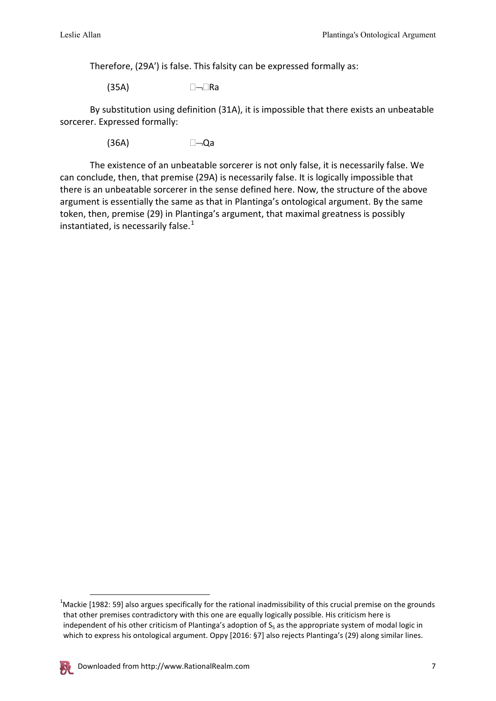Therefore, (29A′) is false. This falsity can be expressed formally as:

 $(35A)$   $\Box$ Ra

By substitution using definition (31A), it is impossible that there exists an unbeatable sorcerer. Expressed formally:

 $(36A)$   $\Box \Box$ Qa

The existence of an unbeatable sorcerer is not only false, it is necessarily false. We can conclude, then, that premise (29A) is necessarily false. It is logically impossible that there is an unbeatable sorcerer in the sense defined here. Now, the structure of the above argument is essentially the same as that in Plantinga's ontological argument. By the same token, then, premise (29) in Plantinga's argument, that maximal greatness is possibly instantiated, is necessarily false. $1$ 

<span id="page-6-0"></span>**<sup>1</sup>**<br>Mackie [1982: 59] also argues specifically for the rational inadmissibility of this crucial premise on the grounds<sup>1</sup> that other premises contradictory with this one are equally logically possible. His criticism here is independent of his other criticism of Plantinga's adoption of  $S_5$  as the appropriate system of modal logic in which to express his ontological argument. Oppy [2016: §7] also rejects Plantinga's (29) along similar lines.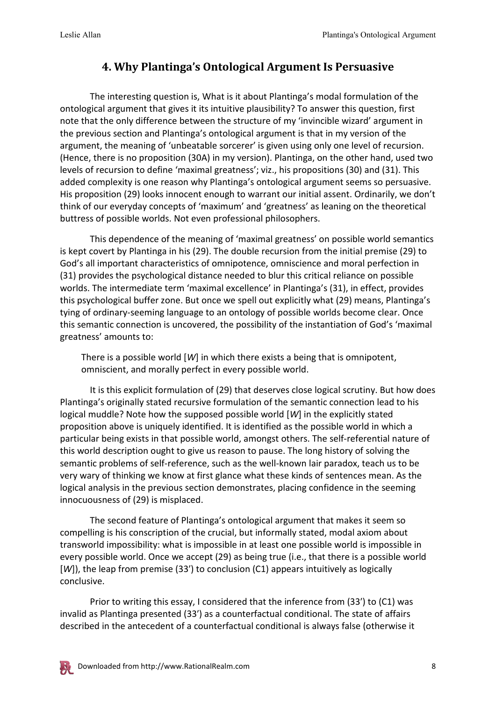#### **4. Why Plantinga's Ontological Argument Is Persuasive**

The interesting question is, What is it about Plantinga's modal formulation of the ontological argument that gives it its intuitive plausibility? To answer this question, first note that the only difference between the structure of my 'invincible wizard' argument in the previous section and Plantinga's ontological argument is that in my version of the argument, the meaning of 'unbeatable sorcerer' is given using only one level of recursion. (Hence, there is no proposition (30A) in my version). Plantinga, on the other hand, used two levels of recursion to define 'maximal greatness'; viz., his propositions (30) and (31). This added complexity is one reason why Plantinga's ontological argument seems so persuasive. His proposition (29) looks innocent enough to warrant our initial assent. Ordinarily, we don't think of our everyday concepts of 'maximum' and 'greatness' as leaning on the theoretical buttress of possible worlds. Not even professional philosophers.

This dependence of the meaning of 'maximal greatness' on possible world semantics is kept covert by Plantinga in his (29). The double recursion from the initial premise (29) to God's all important characteristics of omnipotence, omniscience and moral perfection in (31) provides the psychological distance needed to blur this critical reliance on possible worlds. The intermediate term 'maximal excellence' in Plantinga's (31), in effect, provides this psychological buffer zone. But once we spell out explicitly what (29) means, Plantinga's tying of ordinary-seeming language to an ontology of possible worlds become clear. Once this semantic connection is uncovered, the possibility of the instantiation of God's 'maximal greatness' amounts to:

There is a possible world [*W*] in which there exists a being that is omnipotent, omniscient, and morally perfect in every possible world.

It is this explicit formulation of (29) that deserves close logical scrutiny. But how does Plantinga's originally stated recursive formulation of the semantic connection lead to his logical muddle? Note how the supposed possible world [*W*] in the explicitly stated proposition above is uniquely identified. It is identified as the possible world in which a particular being exists in that possible world, amongst others. The self-referential nature of this world description ought to give us reason to pause. The long history of solving the semantic problems of self-reference, such as the well-known lair paradox, teach us to be very wary of thinking we know at first glance what these kinds of sentences mean. As the logical analysis in the previous section demonstrates, placing confidence in the seeming innocuousness of (29) is misplaced.

The second feature of Plantinga's ontological argument that makes it seem so compelling is his conscription of the crucial, but informally stated, modal axiom about transworld impossibility: what is impossible in at least one possible world is impossible in every possible world. Once we accept (29) as being true (i.e., that there is a possible world [*W*]), the leap from premise (33') to conclusion (C1) appears intuitively as logically conclusive.

Prior to writing this essay, I considered that the inference from (33′) to (C1) was invalid as Plantinga presented (33′) as a counterfactual conditional. The state of affairs described in the antecedent of a counterfactual conditional is always false (otherwise it

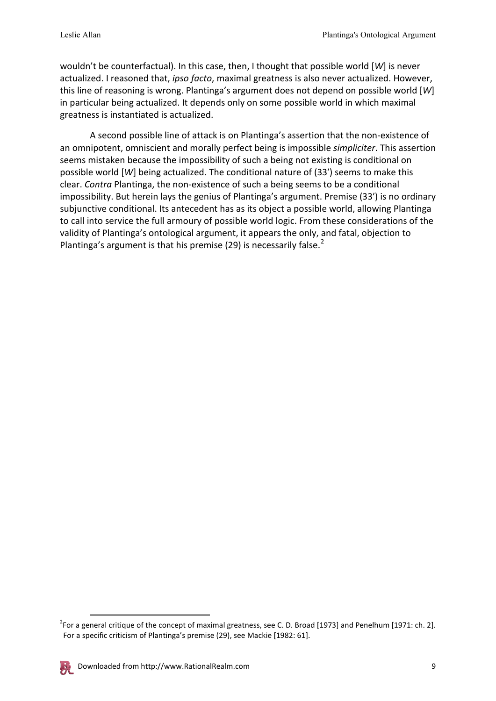wouldn't be counterfactual). In this case, then, I thought that possible world [*W*] is never actualized. I reasoned that, *ipso facto*, maximal greatness is also never actualized. However, this line of reasoning is wrong. Plantinga's argument does not depend on possible world [*W*] in particular being actualized. It depends only on some possible world in which maximal greatness is instantiated is actualized.

A second possible line of attack is on Plantinga's assertion that the non-existence of an omnipotent, omniscient and morally perfect being is impossible *simpliciter*. This assertion seems mistaken because the impossibility of such a being not existing is conditional on possible world [*W*] being actualized. The conditional nature of (33′) seems to make this clear. *Contra* Plantinga, the non-existence of such a being seems to be a conditional impossibility. But herein lays the genius of Plantinga's argument. Premise (33′) is no ordinary subjunctive conditional. Its antecedent has as its object a possible world, allowing Plantinga to call into service the full armoury of possible world logic. From these considerations of the validity of Plantinga's ontological argument, it appears the only, and fatal, objection to Plantinga's argument is that his premise ([2](#page-8-0)9) is necessarily false. $2^2$ 

<span id="page-8-0"></span><sup>&</sup>lt;sup>2</sup> For a general critique of the concept of maximal greatness, see C. D. Broad [1973] and Penelhum [1971: ch. 2]. For a specific criticism of Plantinga's premise (29), see Mackie [1982: 61].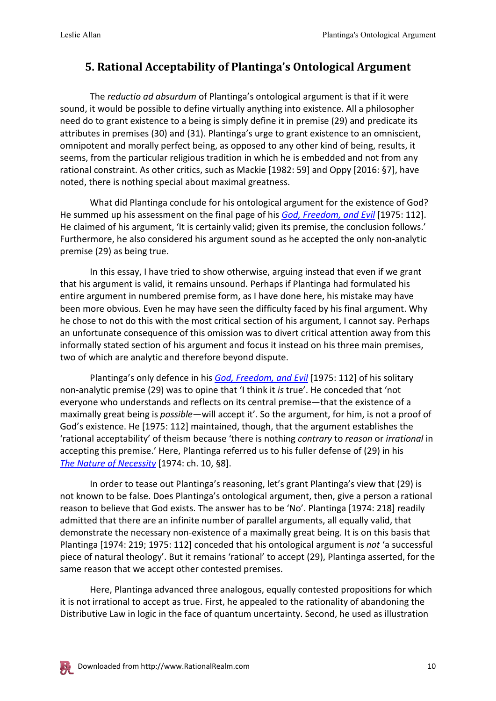#### **5. Rational Acceptability of Plantinga's Ontological Argument**

The *reductio ad absurdum* of Plantinga's ontological argument is that if it were sound, it would be possible to define virtually anything into existence. All a philosopher need do to grant existence to a being is simply define it in premise (29) and predicate its attributes in premises (30) and (31). Plantinga's urge to grant existence to an omniscient, omnipotent and morally perfect being, as opposed to any other kind of being, results, it seems, from the particular religious tradition in which he is embedded and not from any rational constraint. As other critics, such as Mackie [1982: 59] and Oppy [2016: §7], have noted, there is nothing special about maximal greatness.

What did Plantinga conclude for his ontological argument for the existence of God? He summed up his assessment on the final page of his *[God, Freedom, and Evil](http://www.amazon.com/gp/product/0802817319/ref=as_li_tl?ie=UTF8&camp=1789&creative=390957&creativeASIN=0802817319&linkCode=as2&tag=pdf1-ess-20&linkId=FD5ROA5RXXTWDJM5)* [1975: 112]. He claimed of his argument, 'It is certainly valid; given its premise, the conclusion follows.' Furthermore, he also considered his argument sound as he accepted the only non-analytic premise (29) as being true.

In this essay, I have tried to show otherwise, arguing instead that even if we grant that his argument is valid, it remains unsound. Perhaps if Plantinga had formulated his entire argument in numbered premise form, as I have done here, his mistake may have been more obvious. Even he may have seen the difficulty faced by his final argument. Why he chose to not do this with the most critical section of his argument, I cannot say. Perhaps an unfortunate consequence of this omission was to divert critical attention away from this informally stated section of his argument and focus it instead on his three main premises, two of which are analytic and therefore beyond dispute.

Plantinga's only defence in his *[God, Freedom, and Evil](http://www.amazon.com/gp/product/0802817319/ref=as_li_tl?ie=UTF8&camp=1789&creative=390957&creativeASIN=0802817319&linkCode=as2&tag=pdf1-ess-20&linkId=FD5ROA5RXXTWDJM5)* [1975: 112] of his solitary non-analytic premise (29) was to opine that 'I think it *is* true'. He conceded that 'not everyone who understands and reflects on its central premise—that the existence of a maximally great being is *possible*—will accept it'. So the argument, for him, is not a proof of God's existence. He [1975: 112] maintained, though, that the argument establishes the 'rational acceptability' of theism because 'there is nothing *contrary* to *reason* or *irrational* in accepting this premise.' Here, Plantinga referred us to his fuller defense of (29) in his *[The Nature of Necessity](https://www.amazon.com/gp/product/0198244142/ref=as_li_tl?ie=UTF8&camp=1789&creative=9325&creativeASIN=0198244142&linkCode=as2&tag=pdf1-ess-20&linkId=1270065f43efc980b915fdc12b3408af)* [1974: ch. 10, §8].

In order to tease out Plantinga's reasoning, let's grant Plantinga's view that (29) is not known to be false. Does Plantinga's ontological argument, then, give a person a rational reason to believe that God exists. The answer has to be 'No'. Plantinga [1974: 218] readily admitted that there are an infinite number of parallel arguments, all equally valid, that demonstrate the necessary non-existence of a maximally great being. It is on this basis that Plantinga [1974: 219; 1975: 112] conceded that his ontological argument is *not* 'a successful piece of natural theology'. But it remains 'rational' to accept (29), Plantinga asserted, for the same reason that we accept other contested premises.

Here, Plantinga advanced three analogous, equally contested propositions for which it is not irrational to accept as true. First, he appealed to the rationality of abandoning the Distributive Law in logic in the face of quantum uncertainty. Second, he used as illustration

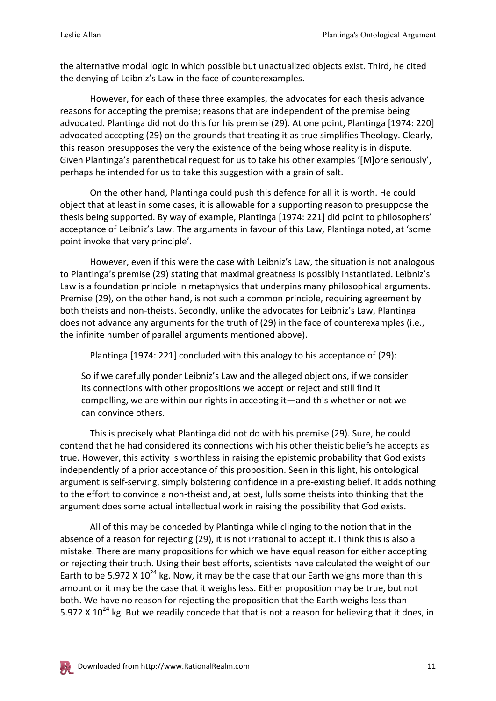the alternative modal logic in which possible but unactualized objects exist. Third, he cited the denying of Leibniz's Law in the face of counterexamples.

However, for each of these three examples, the advocates for each thesis advance reasons for accepting the premise; reasons that are independent of the premise being advocated. Plantinga did not do this for his premise (29). At one point, Plantinga [1974: 220] advocated accepting (29) on the grounds that treating it as true simplifies Theology. Clearly, this reason presupposes the very the existence of the being whose reality is in dispute. Given Plantinga's parenthetical request for us to take his other examples '[M]ore seriously', perhaps he intended for us to take this suggestion with a grain of salt.

On the other hand, Plantinga could push this defence for all it is worth. He could object that at least in some cases, it is allowable for a supporting reason to presuppose the thesis being supported. By way of example, Plantinga [1974: 221] did point to philosophers' acceptance of Leibniz's Law. The arguments in favour of this Law, Plantinga noted, at 'some point invoke that very principle'.

However, even if this were the case with Leibniz's Law, the situation is not analogous to Plantinga's premise (29) stating that maximal greatness is possibly instantiated. Leibniz's Law is a foundation principle in metaphysics that underpins many philosophical arguments. Premise (29), on the other hand, is not such a common principle, requiring agreement by both theists and non-theists. Secondly, unlike the advocates for Leibniz's Law, Plantinga does not advance any arguments for the truth of (29) in the face of counterexamples (i.e., the infinite number of parallel arguments mentioned above).

Plantinga [1974: 221] concluded with this analogy to his acceptance of (29):

So if we carefully ponder Leibniz's Law and the alleged objections, if we consider its connections with other propositions we accept or reject and still find it compelling, we are within our rights in accepting it—and this whether or not we can convince others.

This is precisely what Plantinga did not do with his premise (29). Sure, he could contend that he had considered its connections with his other theistic beliefs he accepts as true. However, this activity is worthless in raising the epistemic probability that God exists independently of a prior acceptance of this proposition. Seen in this light, his ontological argument is self-serving, simply bolstering confidence in a pre-existing belief. It adds nothing to the effort to convince a non-theist and, at best, lulls some theists into thinking that the argument does some actual intellectual work in raising the possibility that God exists.

All of this may be conceded by Plantinga while clinging to the notion that in the absence of a reason for rejecting (29), it is not irrational to accept it. I think this is also a mistake. There are many propositions for which we have equal reason for either accepting or rejecting their truth. Using their best efforts, scientists have calculated the weight of our Earth to be 5.972 X  $10^{24}$  kg. Now, it may be the case that our Earth weighs more than this amount or it may be the case that it weighs less. Either proposition may be true, but not both. We have no reason for rejecting the proposition that the Earth weighs less than 5.972 X  $10^{24}$  kg. But we readily concede that that is not a reason for believing that it does, in

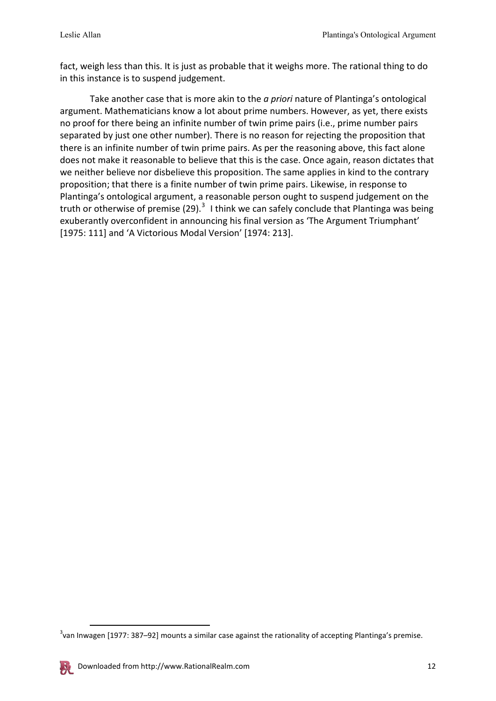fact, weigh less than this. It is just as probable that it weighs more. The rational thing to do in this instance is to suspend judgement.

Take another case that is more akin to the *a priori* nature of Plantinga's ontological argument. Mathematicians know a lot about prime numbers. However, as yet, there exists no proof for there being an infinite number of twin prime pairs (i.e., prime number pairs separated by just one other number). There is no reason for rejecting the proposition that there is an infinite number of twin prime pairs. As per the reasoning above, this fact alone does not make it reasonable to believe that this is the case. Once again, reason dictates that we neither believe nor disbelieve this proposition. The same applies in kind to the contrary proposition; that there is a finite number of twin prime pairs. Likewise, in response to Plantinga's ontological argument, a reasonable person ought to suspend judgement on the truth or otherwise of premise (29).<sup>[3](#page-11-0)</sup> I think we can safely conclude that Plantinga was being exuberantly overconfident in announcing his final version as 'The Argument Triumphant' [1975: 111] and 'A Victorious Modal Version' [1974: 213].

<span id="page-11-0"></span> <sup>3</sup> van Inwagen [1977: 387–92] mounts a similar case against the rationality of accepting Plantinga's premise.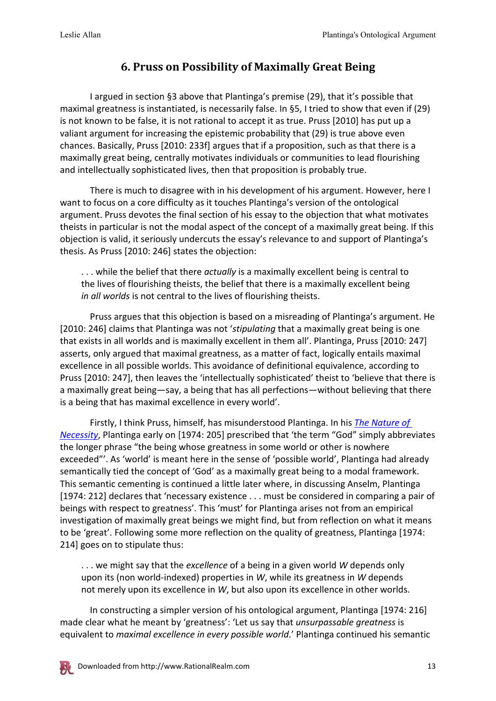## **6. Pruss on Possibility of Maximally Great Being**

I argued in section §3 above that Plantinga's premise (29), that it's possible that maximal greatness is instantiated, is necessarily false. In §5, I tried to show that even if (29) is not known to be false, it is not rational to accept it as true. Pruss [2010] has put up a valiant argument for increasing the epistemic probability that (29) is true above even chances. Basically, Pruss [2010: 233f] argues that if a proposition, such as that there is a maximally great being, centrally motivates individuals or communities to lead flourishing and intellectually sophisticated lives, then that proposition is probably true.

There is much to disagree with in his development of his argument. However, here I want to focus on a core difficulty as it touches Plantinga's version of the ontological argument. Pruss devotes the final section of his essay to the objection that what motivates theists in particular is not the modal aspect of the concept of a maximally great being. If this objection is valid, it seriously undercuts the essay's relevance to and support of Plantinga's thesis. As Pruss [2010: 246] states the objection:

. . . while the belief that there *actually* is a maximally excellent being is central to the lives of flourishing theists, the belief that there is a maximally excellent being *in all worlds* is not central to the lives of flourishing theists.

Pruss argues that this objection is based on a misreading of Plantinga's argument. He [2010: 246] claims that Plantinga was not '*stipulating* that a maximally great being is one that exists in all worlds and is maximally excellent in them all'. Plantinga, Pruss [2010: 247] asserts, only argued that maximal greatness, as a matter of fact, logically entails maximal excellence in all possible worlds. This avoidance of definitional equivalence, according to Pruss [2010: 247], then leaves the 'intellectually sophisticated' theist to 'believe that there is a maximally great being—say, a being that has all perfections—without believing that there is a being that has maximal excellence in every world'.

Firstly, I think Pruss, himself, has misunderstood Plantinga. In his *[The Nature of](https://www.amazon.com/gp/product/0198244142/ref=as_li_tl?ie=UTF8&camp=1789&creative=9325&creativeASIN=0198244142&linkCode=as2&tag=pdf1-ess-20&linkId=1270065f43efc980b915fdc12b3408af)  [Necessity](https://www.amazon.com/gp/product/0198244142/ref=as_li_tl?ie=UTF8&camp=1789&creative=9325&creativeASIN=0198244142&linkCode=as2&tag=pdf1-ess-20&linkId=1270065f43efc980b915fdc12b3408af)*, Plantinga early on [1974: 205] prescribed that 'the term "God" simply abbreviates the longer phrase "the being whose greatness in some world or other is nowhere exceeded"'. As 'world' is meant here in the sense of 'possible world', Plantinga had already semantically tied the concept of 'God' as a maximally great being to a modal framework. This semantic cementing is continued a little later where, in discussing Anselm, Plantinga [1974: 212] declares that 'necessary existence . . . must be considered in comparing a pair of beings with respect to greatness'. This 'must' for Plantinga arises not from an empirical investigation of maximally great beings we might find, but from reflection on what it means to be 'great'. Following some more reflection on the quality of greatness, Plantinga [1974: 214] goes on to stipulate thus:

. . . we might say that the *excellence* of a being in a given world *W* depends only upon its (non world-indexed) properties in *W*, while its greatness in *W* depends not merely upon its excellence in *W*, but also upon its excellence in other worlds.

In constructing a simpler version of his ontological argument, Plantinga [1974: 216] made clear what he meant by 'greatness': 'Let us say that *unsurpassable greatness* is equivalent to *maximal excellence in every possible world*.' Plantinga continued his semantic

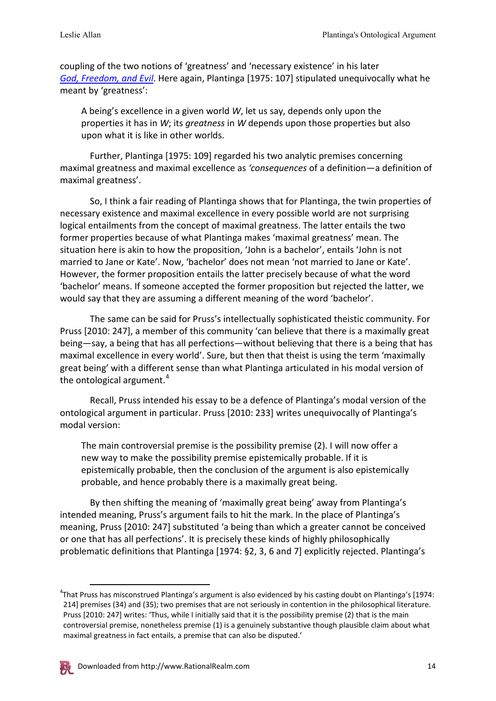coupling of the two notions of 'greatness' and 'necessary existence' in his later *[God, Freedom, and Evil](http://www.amazon.com/gp/product/0802817319/ref=as_li_tl?ie=UTF8&camp=1789&creative=390957&creativeASIN=0802817319&linkCode=as2&tag=pdf1-ess-20&linkId=FD5ROA5RXXTWDJM5)*. Here again, Plantinga [1975: 107] stipulated unequivocally what he meant by 'greatness':

A being's excellence in a given world *W*, let us say, depends only upon the properties it has in *W*; its *greatness* in *W* depends upon those properties but also upon what it is like in other worlds.

Further, Plantinga [1975: 109] regarded his two analytic premises concerning maximal greatness and maximal excellence as *'consequences* of a definition—a definition of maximal greatness'.

So, I think a fair reading of Plantinga shows that for Plantinga, the twin properties of necessary existence and maximal excellence in every possible world are not surprising logical entailments from the concept of maximal greatness. The latter entails the two former properties because of what Plantinga makes 'maximal greatness' mean. The situation here is akin to how the proposition, 'John is a bachelor', entails 'John is not married to Jane or Kate'. Now, 'bachelor' does not mean 'not married to Jane or Kate'. However, the former proposition entails the latter precisely because of what the word 'bachelor' means. If someone accepted the former proposition but rejected the latter, we would say that they are assuming a different meaning of the word 'bachelor'.

The same can be said for Pruss's intellectually sophisticated theistic community. For Pruss [2010: 247], a member of this community 'can believe that there is a maximally great being—say, a being that has all perfections—without believing that there is a being that has maximal excellence in every world'. Sure, but then that theist is using the term 'maximally great being' with a different sense than what Plantinga articulated in his modal version of the ontological argument. $4$ 

Recall, Pruss intended his essay to be a defence of Plantinga's modal version of the ontological argument in particular. Pruss [2010: 233] writes unequivocally of Plantinga's modal version:

The main controversial premise is the possibility premise (2). I will now offer a new way to make the possibility premise epistemically probable. If it is epistemically probable, then the conclusion of the argument is also epistemically probable, and hence probably there is a maximally great being.

By then shifting the meaning of 'maximally great being' away from Plantinga's intended meaning, Pruss's argument fails to hit the mark. In the place of Plantinga's meaning, Pruss [2010: 247] substituted 'a being than which a greater cannot be conceived or one that has all perfections'. It is precisely these kinds of highly philosophically problematic definitions that Plantinga [1974: §2, 3, 6 and 7] explicitly rejected. Plantinga's

<span id="page-13-0"></span> <sup>4</sup> That Pruss has misconstrued Plantinga's argument is also evidenced by his casting doubt on Plantinga's [1974: 214] premises (34) and (35); two premises that are not seriously in contention in the philosophical literature. Pruss [2010: 247] writes: 'Thus, while I initially said that it is the possibility premise (2) that is the main controversial premise, nonetheless premise (1) is a genuinely substantive though plausible claim about what maximal greatness in fact entails, a premise that can also be disputed.'

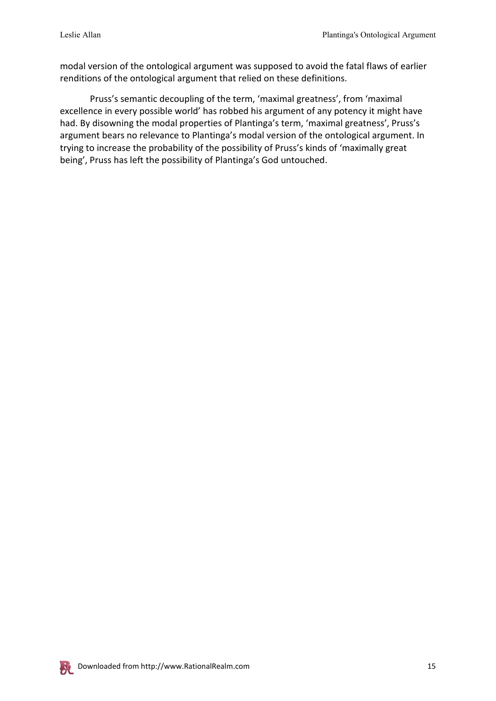modal version of the ontological argument was supposed to avoid the fatal flaws of earlier renditions of the ontological argument that relied on these definitions.

Pruss's semantic decoupling of the term, 'maximal greatness', from 'maximal excellence in every possible world' has robbed his argument of any potency it might have had. By disowning the modal properties of Plantinga's term, 'maximal greatness', Pruss's argument bears no relevance to Plantinga's modal version of the ontological argument. In trying to increase the probability of the possibility of Pruss's kinds of 'maximally great being', Pruss has left the possibility of Plantinga's God untouched.

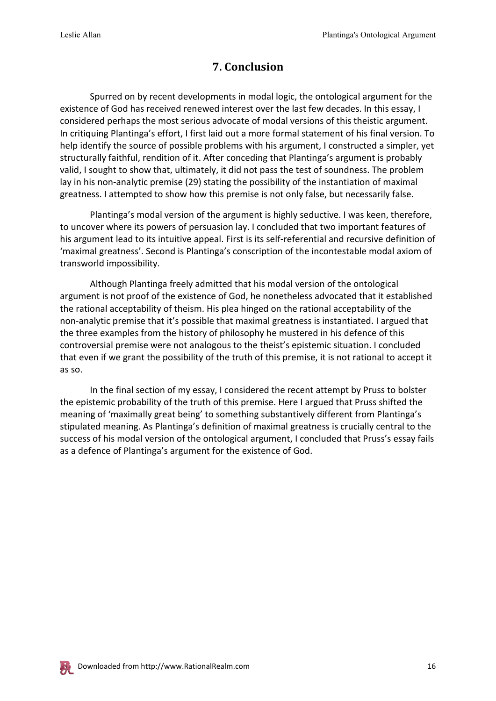## **7. Conclusion**

Spurred on by recent developments in modal logic, the ontological argument for the existence of God has received renewed interest over the last few decades. In this essay, I considered perhaps the most serious advocate of modal versions of this theistic argument. In critiquing Plantinga's effort, I first laid out a more formal statement of his final version. To help identify the source of possible problems with his argument, I constructed a simpler, yet structurally faithful, rendition of it. After conceding that Plantinga's argument is probably valid, I sought to show that, ultimately, it did not pass the test of soundness. The problem lay in his non-analytic premise (29) stating the possibility of the instantiation of maximal greatness. I attempted to show how this premise is not only false, but necessarily false.

Plantinga's modal version of the argument is highly seductive. I was keen, therefore, to uncover where its powers of persuasion lay. I concluded that two important features of his argument lead to its intuitive appeal. First is its self-referential and recursive definition of 'maximal greatness'. Second is Plantinga's conscription of the incontestable modal axiom of transworld impossibility.

Although Plantinga freely admitted that his modal version of the ontological argument is not proof of the existence of God, he nonetheless advocated that it established the rational acceptability of theism. His plea hinged on the rational acceptability of the non-analytic premise that it's possible that maximal greatness is instantiated. I argued that the three examples from the history of philosophy he mustered in his defence of this controversial premise were not analogous to the theist's epistemic situation. I concluded that even if we grant the possibility of the truth of this premise, it is not rational to accept it as so.

In the final section of my essay, I considered the recent attempt by Pruss to bolster the epistemic probability of the truth of this premise. Here I argued that Pruss shifted the meaning of 'maximally great being' to something substantively different from Plantinga's stipulated meaning. As Plantinga's definition of maximal greatness is crucially central to the success of his modal version of the ontological argument, I concluded that Pruss's essay fails as a defence of Plantinga's argument for the existence of God.

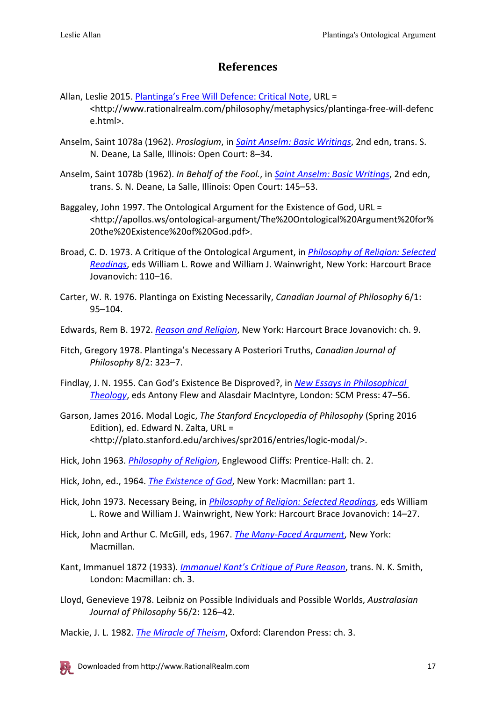#### **References**

- Allan, Leslie 2015. [Plantinga's Free Will Defence: Critical Note,](http://www.rationalrealm.com/philosophy/metaphysics/plantinga-free-will-defence.html) URL = <http://www.rationalrealm.com/philosophy/metaphysics/plantinga-free-will-defenc e.html>.
- Anselm, Saint 1078a (1962). *Proslogium*, in *[Saint Anselm: Basic Writings](https://www.amazon.com/gp/product/0875481094/ref=as_li_tl?ie=UTF8&camp=1789&creative=9325&creativeASIN=0875481094&linkCode=as2&tag=pdf1-ess-20&linkId=5eaf11ca8e853bce6697b20c3e72335d)*, 2nd edn, trans. S. N. Deane, La Salle, Illinois: Open Court: 8–34.
- Anselm, Saint 1078b (1962). *In Behalf of the Fool.*, in *[Saint Anselm: Basic Writings](https://www.amazon.com/gp/product/0875481094/ref=as_li_tl?ie=UTF8&camp=1789&creative=9325&creativeASIN=0875481094&linkCode=as2&tag=pdf1-ess-20&linkId=5eaf11ca8e853bce6697b20c3e72335d)*, 2nd edn, trans. S. N. Deane, La Salle, Illinois: Open Court: 145–53.
- Baggaley, John 1997. The Ontological Argument for the Existence of God, URL = <http://apollos.ws/ontological-argument/The%20Ontological%20Argument%20for% 20the%20Existence%20of%20God.pdf>.
- Broad, C. D. 1973. A Critique of the Ontological Argument, in *[Philosophy of Religion: Selected](http://www.amazon.com/gp/product/0195155114/ref=as_li_tl?ie=UTF8&camp=1789&creative=390957&creativeASIN=0195155114&linkCode=as2&tag=pdf1-ess-20&linkId=XUV6NRRBDQVRBLI4)  [Readings](http://www.amazon.com/gp/product/0195155114/ref=as_li_tl?ie=UTF8&camp=1789&creative=390957&creativeASIN=0195155114&linkCode=as2&tag=pdf1-ess-20&linkId=XUV6NRRBDQVRBLI4)*, eds William L. Rowe and William J. Wainwright, New York: Harcourt Brace Jovanovich: 110–16.
- Carter, W. R. 1976. Plantinga on Existing Necessarily, *Canadian Journal of Philosophy* 6/1: 95–104.

Edwards, Rem B. 1972. *[Reason and Religion](https://www.amazon.com/gp/product/1532609310/ref=as_li_tl?ie=UTF8&camp=1789&creative=9325&creativeASIN=1532609310&linkCode=as2&tag=pdf1-ess-20&linkId=f68be083159ecd61b3d8ea55ded6fab0)*, New York: Harcourt Brace Jovanovich: ch. 9.

- Fitch, Gregory 1978. Plantinga's Necessary A Posteriori Truths, *Canadian Journal of Philosophy* 8/2: 323–7.
- Findlay, J. N. 1955. Can God's Existence Be Disproved?, in *[New Essays in Philosophical](https://www.amazon.com/gp/product/0334046211/ref=as_li_tl?ie=UTF8&camp=1789&creative=9325&creativeASIN=0334046211&linkCode=as2&tag=pdf1-ess-20&linkId=4eeb7b6b2ec8fc6da6634a66a9155044)  [Theology](https://www.amazon.com/gp/product/0334046211/ref=as_li_tl?ie=UTF8&camp=1789&creative=9325&creativeASIN=0334046211&linkCode=as2&tag=pdf1-ess-20&linkId=4eeb7b6b2ec8fc6da6634a66a9155044)*, eds Antony Flew and Alasdair MacIntyre, London: SCM Press: 47–56.
- Garson, James 2016. Modal Logic, *The Stanford Encyclopedia of Philosophy* (Spring 2016 Edition), ed. Edward N. Zalta, URL = <http://plato.stanford.edu/archives/spr2016/entries/logic-modal/>.
- Hick, John 1963. *[Philosophy of Religion](http://www.amazon.com/gp/product/0136626289/ref=as_li_tl?ie=UTF8&camp=1789&creative=390957&creativeASIN=0136626289&linkCode=as2&tag=pdf1-ess-20&linkId=GNO7YLKQJHX6536O)*, Englewood Cliffs: Prentice-Hall: ch. 2.
- Hick, John, ed., 1964. *[The Existence of God](https://www.amazon.com/gp/product/B00128MA9S/ref=as_li_tl?ie=UTF8&camp=1789&creative=9325&creativeASIN=B00128MA9S&linkCode=as2&tag=pdf1-ess-20&linkId=616a0e3736326dea4fa1c7a144aa66de)*, New York: Macmillan: part 1.
- Hick, John 1973. Necessary Being, in *[Philosophy of Religion: Selected Readings](http://www.amazon.com/gp/product/0195155114/ref=as_li_tl?ie=UTF8&camp=1789&creative=390957&creativeASIN=0195155114&linkCode=as2&tag=pdf1-ess-20&linkId=XUV6NRRBDQVRBLI4)*, eds William L. Rowe and William J. Wainwright, New York: Harcourt Brace Jovanovich: 14–27.
- Hick, John and Arthur C. McGill, eds, 1967. *[The Many-Faced Argument](https://www.amazon.com/gp/product/1606086952/ref=as_li_tl?ie=UTF8&camp=1789&creative=9325&creativeASIN=1606086952&linkCode=as2&tag=pdf1-ess-20&linkId=aad14c1497dcfd43cd253591fbf0d98c)*, New York: Macmillan.
- Kant, Immanuel 1872 (1933). *[Immanuel Kant's Critique of Pure Reason](http://www.amazon.com/gp/product/0230013384/ref=as_li_tl?ie=UTF8&camp=1789&creative=390957&creativeASIN=0230013384&linkCode=as2&tag=pdf1-ess-20&linkId=EN64WCWCAHVTZ7OB)*, trans. N. K. Smith, London: Macmillan: ch. 3.
- Lloyd, Genevieve 1978. Leibniz on Possible Individuals and Possible Worlds, *Australasian Journal of Philosophy* 56/2: 126–42.
- Mackie, J. L. 1982. *[The Miracle of Theism](http://www.amazon.com/gp/product/019824682X/ref=as_li_tl?ie=UTF8&camp=1789&creative=390957&creativeASIN=019824682X&linkCode=as2&tag=pdf1-ess-20&linkId=PETHAJNZJJCW34MD)*, Oxford: Clarendon Press: ch. 3.